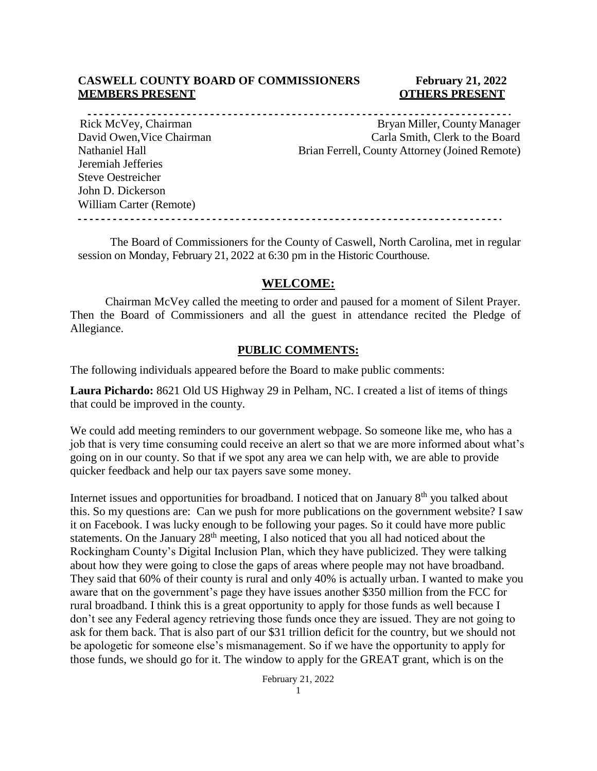### **CASWELL COUNTY BOARD OF COMMISSIONERS February 21, 2022 MEMBERS PRESENT COTHERS PRESENT**

----------------------------------Jeremiah Jefferies Steve Oestreicher John D. Dickerson William Carter (Remote)

Rick McVey, Chairman Bryan Miller, County Manager David Owen, Vice Chairman Carla Smith, Clerk to the Board Nathaniel Hall Brian Ferrell, County Attorney (Joined Remote)

The Board of Commissioners for the County of Caswell, North Carolina, met in regular session on Monday, February 21, 2022 at 6:30 pm in the Historic Courthouse.

### **WELCOME:**

Chairman McVey called the meeting to order and paused for a moment of Silent Prayer. Then the Board of Commissioners and all the guest in attendance recited the Pledge of Allegiance.

### **PUBLIC COMMENTS:**

The following individuals appeared before the Board to make public comments:

**Laura Pichardo:** 8621 Old US Highway 29 in Pelham, NC. I created a list of items of things that could be improved in the county.

We could add meeting reminders to our government webpage. So someone like me, who has a job that is very time consuming could receive an alert so that we are more informed about what's going on in our county. So that if we spot any area we can help with, we are able to provide quicker feedback and help our tax payers save some money.

Internet issues and opportunities for broadband. I noticed that on January 8<sup>th</sup> you talked about this. So my questions are: Can we push for more publications on the government website? I saw it on Facebook. I was lucky enough to be following your pages. So it could have more public statements. On the January 28<sup>th</sup> meeting, I also noticed that you all had noticed about the Rockingham County's Digital Inclusion Plan, which they have publicized. They were talking about how they were going to close the gaps of areas where people may not have broadband. They said that 60% of their county is rural and only 40% is actually urban. I wanted to make you aware that on the government's page they have issues another \$350 million from the FCC for rural broadband. I think this is a great opportunity to apply for those funds as well because I don't see any Federal agency retrieving those funds once they are issued. They are not going to ask for them back. That is also part of our \$31 trillion deficit for the country, but we should not be apologetic for someone else's mismanagement. So if we have the opportunity to apply for those funds, we should go for it. The window to apply for the GREAT grant, which is on the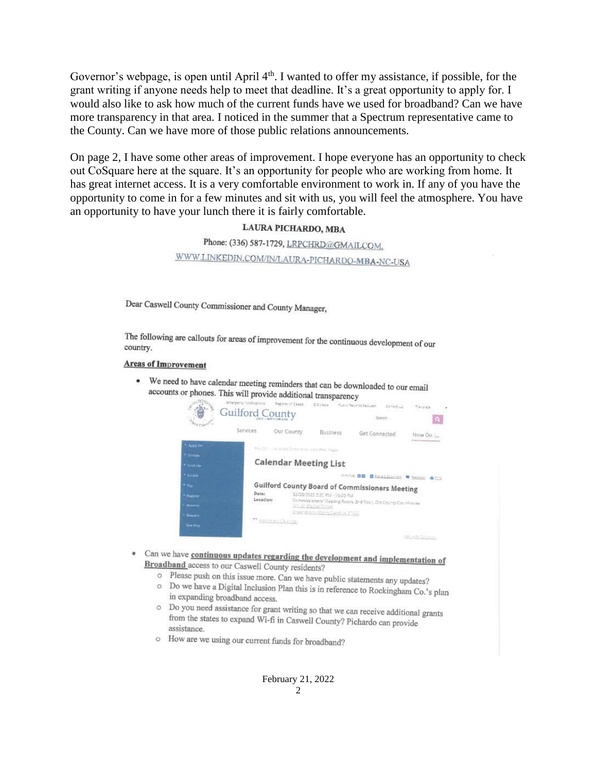Governor's webpage, is open until April  $4<sup>th</sup>$ . I wanted to offer my assistance, if possible, for the grant writing if anyone needs help to meet that deadline. It's a great opportunity to apply for. I would also like to ask how much of the current funds have we used for broadband? Can we have more transparency in that area. I noticed in the summer that a Spectrum representative came to the County. Can we have more of those public relations announcements.

On page 2, I have some other areas of improvement. I hope everyone has an opportunity to check out CoSquare here at the square. It's an opportunity for people who are working from home. It has great internet access. It is a very comfortable environment to work in. If any of you have the opportunity to come in for a few minutes and sit with us, you will feel the atmosphere. You have an opportunity to have your lunch there it is fairly comfortable.

### LAURA PICHARDO, MBA

Phone: (336) 587-1729, LRPCHRD@GMAILCOM. WWW.LINKEDIN.COM/IN/LAURA-PICHARDO-MBA-NC-USA

Dear Caswell County Commissioner and County Manager,

The following are callouts for areas of improvement for the continuous development of our country country.

#### **Areas of Improvement**

• We need to have calendar meeting reminders that can be downloaded to our email accounts or phones. This will provide additional transparency

|                        | Emergency Noskications<br><b>Guilford County</b> | Figgine of Deaps:                                                                                                   | <b>GENVAR</b>                  | Putter Records Request<br>Content wil<br>Search | franzista<br>э     |  |
|------------------------|--------------------------------------------------|---------------------------------------------------------------------------------------------------------------------|--------------------------------|-------------------------------------------------|--------------------|--|
|                        | Services                                         | Our County                                                                                                          | <b>Business</b>                | <b>Get Connected</b>                            | How Do             |  |
| * Apply for            |                                                  | PACITY (ALECOFFICIENTS SPACING Figs)                                                                                |                                |                                                 |                    |  |
| * Dorsey<br>* Look Up- |                                                  | <b>Calendar Meeting List</b>                                                                                        |                                |                                                 |                    |  |
| * Locate               |                                                  |                                                                                                                     |                                | <b>FLASSIS 00</b>                               | Distributor V temp |  |
| $+$ $v_{ex}$           |                                                  | <b>Guilford County Board of Commissioners Meeting</b>                                                               |                                |                                                 |                    |  |
| <sup>*</sup> Fiegister |                                                  | Date:<br>03/03/2022 5:30 PM - 10:00 PM<br>Location:<br>Commissioners' Measing Room, 2nd Koor, Old Courty Courthouse |                                |                                                 |                    |  |
| <b>California</b>      |                                                  |                                                                                                                     | <b>SCOUT Mariage Estade</b>    |                                                 |                    |  |
| Первет.                |                                                  | " Heteri-Outside                                                                                                    | Ementions Morry Carolina 27402 |                                                 |                    |  |
| See May                |                                                  |                                                                                                                     |                                |                                                 |                    |  |
|                        |                                                  |                                                                                                                     |                                |                                                 | <b>REVENUES</b>    |  |

- Can we have continuous updates regarding the development and implementation of  $B_{\text{roadband}}$  access to our  $G_{\text{total}}$  is  $G_{\text{total}}$ . **Broadband** access to our Caswell County residents?
	- O Please push on this issue more. Can we have public statements any updates?
	- o Do we have a Digital Inclusion Plan this is in reference to Rockingham Co.'s plan<br>in proportion by the state of the state of the state of the proportion of the state of the state of the state of the state of the state of in expanding broadband access.
	- o Do you need assistance for grant writing so that we can receive additional grants from the states to expand Wi-fi in Caswell County? Pichardo can provide assistance.
	- o How are we using our current funds for broadband?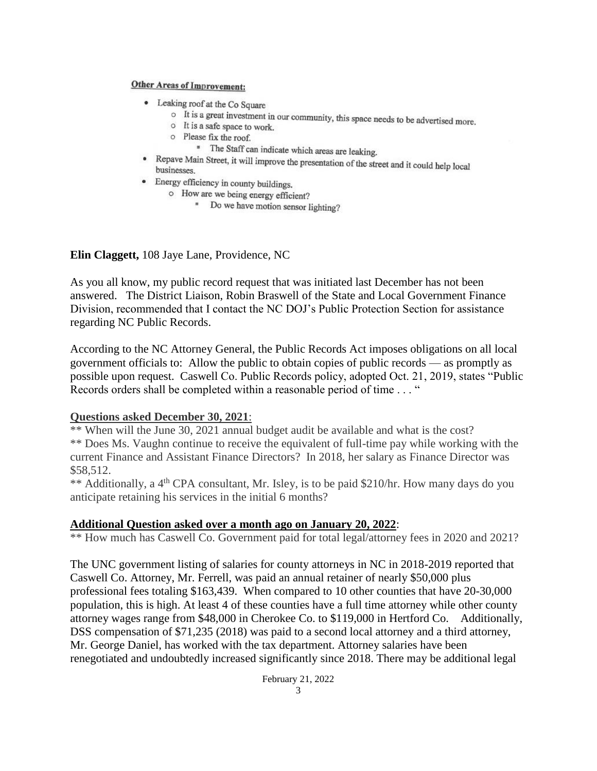### **Other Areas of Improvement:**

- Leaking roof at the Co Square
	- It is a great investment in our community, this space needs to be advertised more.
	- o It is a safe space to work.
	- o Please fix the roof.
		- \* The Staff can indicate which areas are leaking.
- Repave Main Street, it will improve the presentation of the street and it could help local<br>husinesses businesses.
- Energy efficiency in county buildings.
	- o How are we being energy efficient?
		- " Do we have motion sensor lighting?

**Elin Claggett,** 108 Jaye Lane, Providence, NC

As you all know, my public record request that was initiated last December has not been answered. The District Liaison, Robin Braswell of the State and Local Government Finance Division, recommended that I contact the NC DOJ's Public Protection Section for assistance regarding NC Public Records.

According to the NC Attorney General, the Public Records Act imposes obligations on all local government officials to: Allow the public to obtain copies of public records — as promptly as possible upon request. Caswell Co. Public Records policy, adopted Oct. 21, 2019, states "Public Records orders shall be completed within a reasonable period of time . . . "

### **Questions asked December 30, 2021**:

\*\* When will the June 30, 2021 annual budget audit be available and what is the cost? \*\* Does Ms. Vaughn continue to receive the equivalent of full-time pay while working with the current Finance and Assistant Finance Directors? In 2018, her salary as Finance Director was \$58,512.

\*\* Additionally, a 4<sup>th</sup> CPA consultant, Mr. Isley, is to be paid \$210/hr. How many days do you anticipate retaining his services in the initial 6 months?

### **Additional Question asked over a month ago on January 20, 2022**:

\*\* How much has Caswell Co. Government paid for total legal/attorney fees in 2020 and 2021?

The UNC government listing of salaries for county attorneys in NC in 2018-2019 reported that Caswell Co. Attorney, Mr. Ferrell, was paid an annual retainer of nearly \$50,000 plus professional fees totaling \$163,439. When compared to 10 other counties that have 20-30,000 population, this is high. At least 4 of these counties have a full time attorney while other county attorney wages range from \$48,000 in Cherokee Co. to \$119,000 in Hertford Co. Additionally, DSS compensation of \$71,235 (2018) was paid to a second local attorney and a third attorney, Mr. George Daniel, has worked with the tax department. Attorney salaries have been renegotiated and undoubtedly increased significantly since 2018. There may be additional legal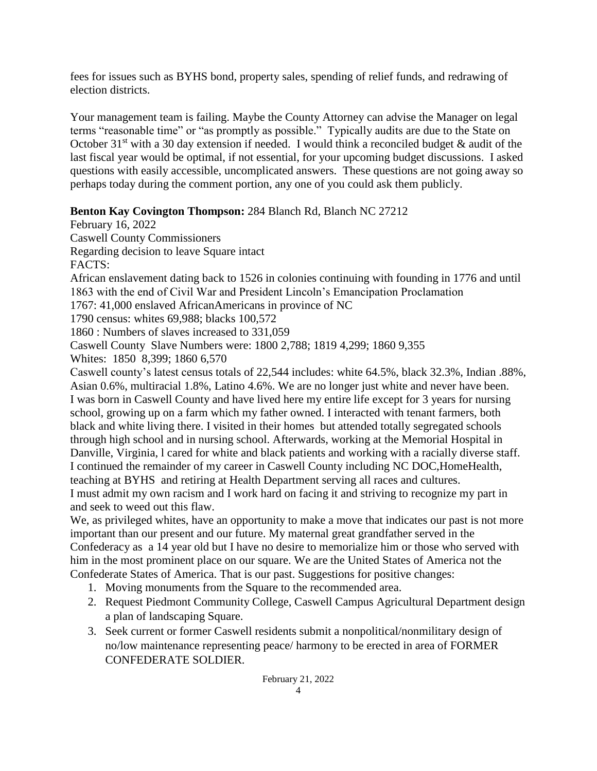fees for issues such as BYHS bond, property sales, spending of relief funds, and redrawing of election districts.

Your management team is failing. Maybe the County Attorney can advise the Manager on legal terms "reasonable time" or "as promptly as possible." Typically audits are due to the State on October 31<sup>st</sup> with a 30 day extension if needed. I would think a reconciled budget  $\&$  audit of the last fiscal year would be optimal, if not essential, for your upcoming budget discussions. I asked questions with easily accessible, uncomplicated answers. These questions are not going away so perhaps today during the comment portion, any one of you could ask them publicly.

# **Benton Kay Covington Thompson:** 284 Blanch Rd, Blanch NC 27212

February 16, 2022

Caswell County Commissioners

Regarding decision to leave Square intact

FACTS:

African enslavement dating back to 1526 in colonies continuing with founding in 1776 and until 1863 with the end of Civil War and President Lincoln's Emancipation Proclamation

1767: 41,000 enslaved AfricanAmericans in province of NC

1790 census: whites 69,988; blacks 100,572

1860 : Numbers of slaves increased to 331,059

Caswell County Slave Numbers were: 1800 2,788; 1819 4,299; 1860 9,355

Whites: 1850 8,399; 1860 6,570

Caswell county's latest census totals of 22,544 includes: white 64.5%, black 32.3%, Indian .88%, Asian 0.6%, multiracial 1.8%, Latino 4.6%. We are no longer just white and never have been. I was born in Caswell County and have lived here my entire life except for 3 years for nursing school, growing up on a farm which my father owned. I interacted with tenant farmers, both black and white living there. I visited in their homes but attended totally segregated schools through high school and in nursing school. Afterwards, working at the Memorial Hospital in Danville, Virginia, l cared for white and black patients and working with a racially diverse staff. I continued the remainder of my career in Caswell County including NC DOC,HomeHealth, teaching at BYHS and retiring at Health Department serving all races and cultures. I must admit my own racism and I work hard on facing it and striving to recognize my part in and seek to weed out this flaw.

We, as privileged whites, have an opportunity to make a move that indicates our past is not more important than our present and our future. My maternal great grandfather served in the Confederacy as a 14 year old but I have no desire to memorialize him or those who served with him in the most prominent place on our square. We are the United States of America not the Confederate States of America. That is our past. Suggestions for positive changes:

- 1. Moving monuments from the Square to the recommended area.
- 2. Request Piedmont Community College, Caswell Campus Agricultural Department design a plan of landscaping Square.
- 3. Seek current or former Caswell residents submit a nonpolitical/nonmilitary design of no/low maintenance representing peace/ harmony to be erected in area of FORMER CONFEDERATE SOLDIER.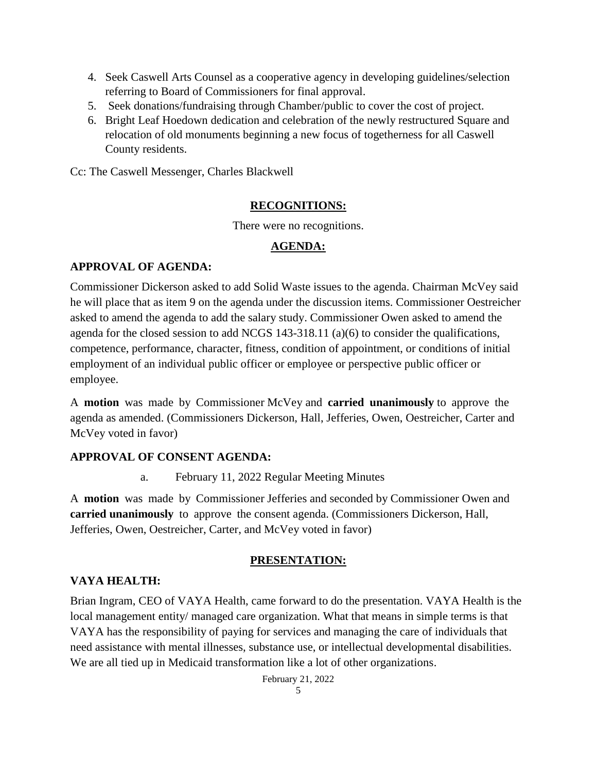- 4. Seek Caswell Arts Counsel as a cooperative agency in developing guidelines/selection referring to Board of Commissioners for final approval.
- 5. Seek donations/fundraising through Chamber/public to cover the cost of project.
- 6. Bright Leaf Hoedown dedication and celebration of the newly restructured Square and relocation of old monuments beginning a new focus of togetherness for all Caswell County residents.

Cc: The Caswell Messenger, Charles Blackwell

## **RECOGNITIONS:**

There were no recognitions.

# **AGENDA:**

# **APPROVAL OF AGENDA:**

Commissioner Dickerson asked to add Solid Waste issues to the agenda. Chairman McVey said he will place that as item 9 on the agenda under the discussion items. Commissioner Oestreicher asked to amend the agenda to add the salary study. Commissioner Owen asked to amend the agenda for the closed session to add NCGS 143-318.11 (a)(6) to consider the qualifications, competence, performance, character, fitness, condition of appointment, or conditions of initial employment of an individual public officer or employee or perspective public officer or employee.

A **motion** was made by Commissioner McVey and **carried unanimously** to approve the agenda as amended. (Commissioners Dickerson, Hall, Jefferies, Owen, Oestreicher, Carter and McVey voted in favor)

## **APPROVAL OF CONSENT AGENDA:**

a. February 11, 2022 Regular Meeting Minutes

A **motion** was made by Commissioner Jefferies and seconded by Commissioner Owen and **carried unanimously** to approve the consent agenda. (Commissioners Dickerson, Hall, Jefferies, Owen, Oestreicher, Carter, and McVey voted in favor)

# **PRESENTATION:**

# **VAYA HEALTH:**

Brian Ingram, CEO of VAYA Health, came forward to do the presentation. VAYA Health is the local management entity/ managed care organization. What that means in simple terms is that VAYA has the responsibility of paying for services and managing the care of individuals that need assistance with mental illnesses, substance use, or intellectual developmental disabilities. We are all tied up in Medicaid transformation like a lot of other organizations.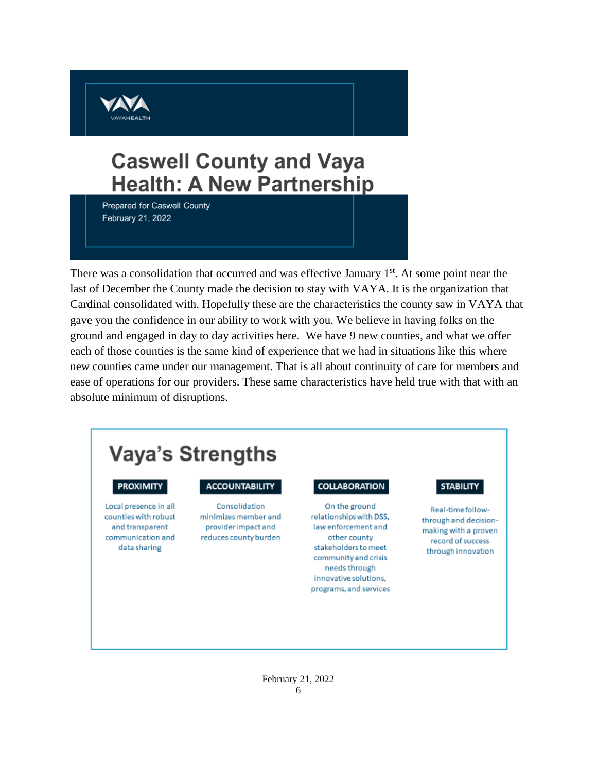

# **Caswell County and Vaya Health: A New Partnership**

Prepared for Caswell County February 21, 2022

There was a consolidation that occurred and was effective January  $1<sup>st</sup>$ . At some point near the last of December the County made the decision to stay with VAYA. It is the organization that Cardinal consolidated with. Hopefully these are the characteristics the county saw in VAYA that gave you the confidence in our ability to work with you. We believe in having folks on the ground and engaged in day to day activities here. We have 9 new counties, and what we offer each of those counties is the same kind of experience that we had in situations like this where new counties came under our management. That is all about continuity of care for members and ease of operations for our providers. These same characteristics have held true with that with an absolute minimum of disruptions.

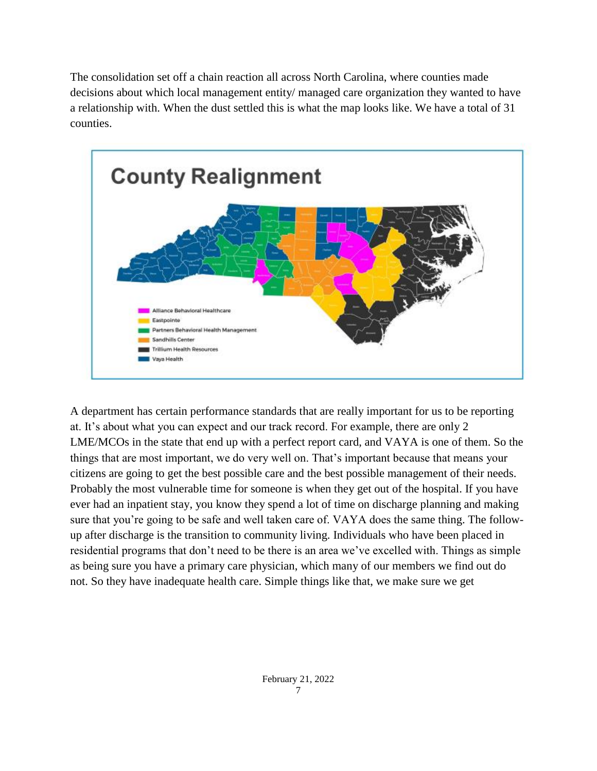The consolidation set off a chain reaction all across North Carolina, where counties made decisions about which local management entity/ managed care organization they wanted to have a relationship with. When the dust settled this is what the map looks like. We have a total of 31 counties.



A department has certain performance standards that are really important for us to be reporting at. It's about what you can expect and our track record. For example, there are only 2 LME/MCOs in the state that end up with a perfect report card, and VAYA is one of them. So the things that are most important, we do very well on. That's important because that means your citizens are going to get the best possible care and the best possible management of their needs. Probably the most vulnerable time for someone is when they get out of the hospital. If you have ever had an inpatient stay, you know they spend a lot of time on discharge planning and making sure that you're going to be safe and well taken care of. VAYA does the same thing. The followup after discharge is the transition to community living. Individuals who have been placed in residential programs that don't need to be there is an area we've excelled with. Things as simple as being sure you have a primary care physician, which many of our members we find out do not. So they have inadequate health care. Simple things like that, we make sure we get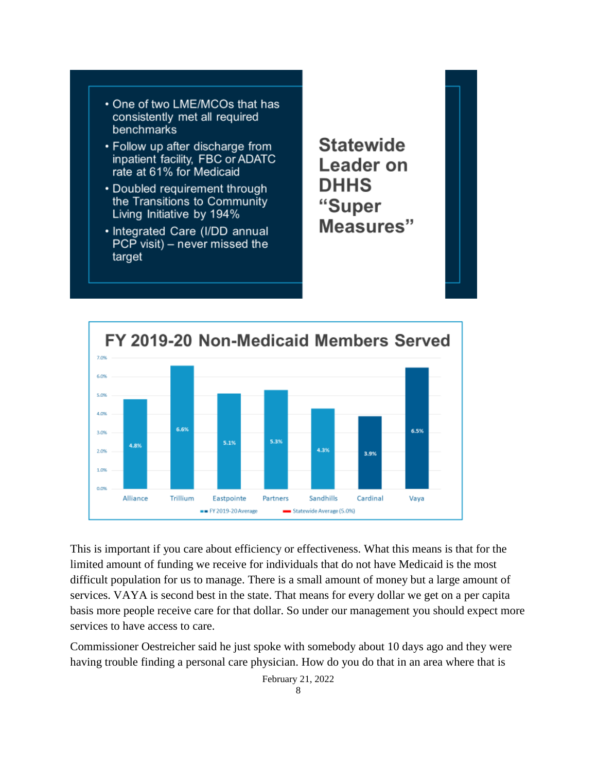

- Follow up after discharge from inpatient facility, FBC or ADATC rate at 61% for Medicaid
- Doubled requirement through the Transitions to Community Living Initiative by 194%
- · Integrated Care (I/DD annual  $PCP$  visit) – never missed the target

**Statewide** Leader on **DHHS** "Super Measures"



This is important if you care about efficiency or effectiveness. What this means is that for the limited amount of funding we receive for individuals that do not have Medicaid is the most difficult population for us to manage. There is a small amount of money but a large amount of services. VAYA is second best in the state. That means for every dollar we get on a per capita basis more people receive care for that dollar. So under our management you should expect more services to have access to care.

Commissioner Oestreicher said he just spoke with somebody about 10 days ago and they were having trouble finding a personal care physician. How do you do that in an area where that is

February 21, 2022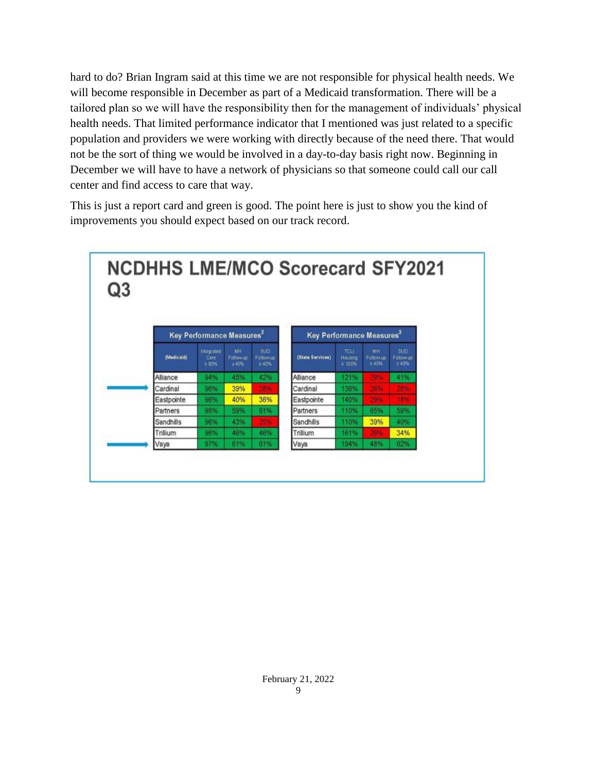hard to do? Brian Ingram said at this time we are not responsible for physical health needs. We will become responsible in December as part of a Medicaid transformation. There will be a tailored plan so we will have the responsibility then for the management of individuals' physical health needs. That limited performance indicator that I mentioned was just related to a specific population and providers we were working with directly because of the need there. That would not be the sort of thing we would be involved in a day-to-day basis right now. Beginning in December we will have to have a network of physicians so that someone could call our call center and find access to care that way.

This is just a report card and green is good. The point here is just to show you the kind of improvements you should expect based on our track record.

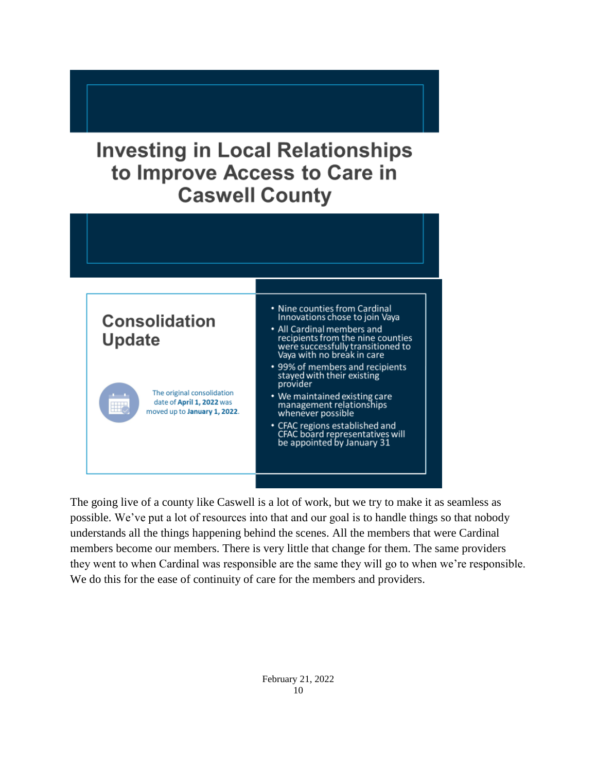# **Investing in Local Relationships** to Improve Access to Care in **Caswell County**



The going live of a county like Caswell is a lot of work, but we try to make it as seamless as possible. We've put a lot of resources into that and our goal is to handle things so that nobody understands all the things happening behind the scenes. All the members that were Cardinal members become our members. There is very little that change for them. The same providers they went to when Cardinal was responsible are the same they will go to when we're responsible. We do this for the ease of continuity of care for the members and providers.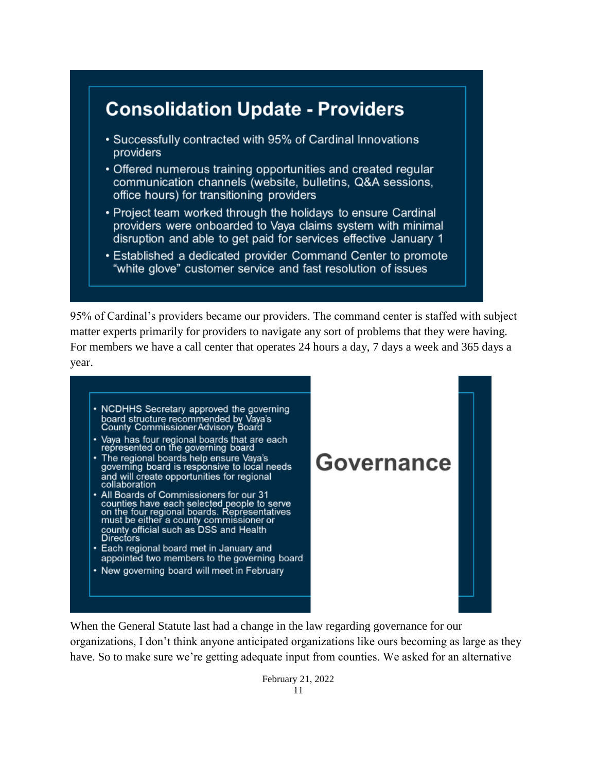# **Consolidation Update - Providers**

- Successfully contracted with 95% of Cardinal Innovations providers
- Offered numerous training opportunities and created regular communication channels (website, bulletins, Q&A sessions, office hours) for transitioning providers
- Project team worked through the holidays to ensure Cardinal providers were onboarded to Vava claims system with minimal disruption and able to get paid for services effective January 1
- Established a dedicated provider Command Center to promote "white glove" customer service and fast resolution of issues

95% of Cardinal's providers became our providers. The command center is staffed with subject matter experts primarily for providers to navigate any sort of problems that they were having. For members we have a call center that operates 24 hours a day, 7 days a week and 365 days a year.

• NCDHHS Secretary approved the governing board structure recommended by Vaya's<br>County Commissioner Advisory Board Vaya has four regional boards that are each<br>represented on the governing board • The regional boards help ensure Vaya's<br>governing board is responsive to local needs Governance and will create opportunities for regional collaboration All Boards of Commissioners for our 31<br>
All Boards of Commissioners for our 31<br>
counties have each selected people to serve<br>
on the four regional boards. Representatives<br>
must be either a county commissioner or<br>
county off • Each regional board met in January and appointed two members to the governing board • New governing board will meet in February

When the General Statute last had a change in the law regarding governance for our organizations, I don't think anyone anticipated organizations like ours becoming as large as they have. So to make sure we're getting adequate input from counties. We asked for an alternative

> February 21, 2022 11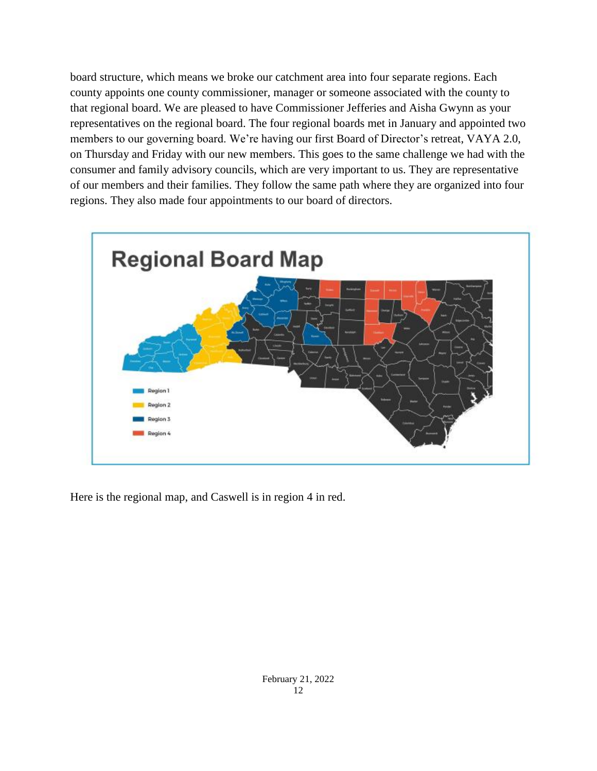board structure, which means we broke our catchment area into four separate regions. Each county appoints one county commissioner, manager or someone associated with the county to that regional board. We are pleased to have Commissioner Jefferies and Aisha Gwynn as your representatives on the regional board. The four regional boards met in January and appointed two members to our governing board. We're having our first Board of Director's retreat, VAYA 2.0, on Thursday and Friday with our new members. This goes to the same challenge we had with the consumer and family advisory councils, which are very important to us. They are representative of our members and their families. They follow the same path where they are organized into four regions. They also made four appointments to our board of directors.



Here is the regional map, and Caswell is in region 4 in red.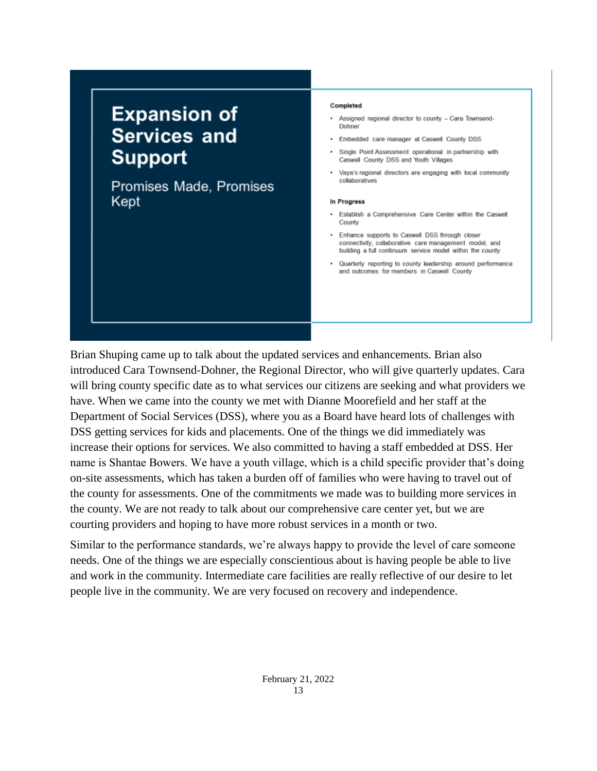# **Expansion of Services and Support**

Promises Made, Promises Kept

#### Completed

- Assigned regional director to county Cara Townsend-Dohner
- Embedded care manager at Caswell County DSS
- Single Point Assessment operational in partnership with Caswell County DSS and Youth Villages
- Vaya's regional directors are engaging with local community collaboratives

#### In Progress

- Establish a Comprehensive Care Center within the Caswell County
- . Enhance supports to Caswell DSS through closer connectivity, collaborative care management model, and building a full continuum service model within the county
- . Quarterly reporting to county leadership around performance and outcomes for members in Caswell County

Brian Shuping came up to talk about the updated services and enhancements. Brian also introduced Cara Townsend-Dohner, the Regional Director, who will give quarterly updates. Cara will bring county specific date as to what services our citizens are seeking and what providers we have. When we came into the county we met with Dianne Moorefield and her staff at the Department of Social Services (DSS), where you as a Board have heard lots of challenges with DSS getting services for kids and placements. One of the things we did immediately was increase their options for services. We also committed to having a staff embedded at DSS. Her name is Shantae Bowers. We have a youth village, which is a child specific provider that's doing on-site assessments, which has taken a burden off of families who were having to travel out of the county for assessments. One of the commitments we made was to building more services in the county. We are not ready to talk about our comprehensive care center yet, but we are courting providers and hoping to have more robust services in a month or two.

Similar to the performance standards, we're always happy to provide the level of care someone needs. One of the things we are especially conscientious about is having people be able to live and work in the community. Intermediate care facilities are really reflective of our desire to let people live in the community. We are very focused on recovery and independence.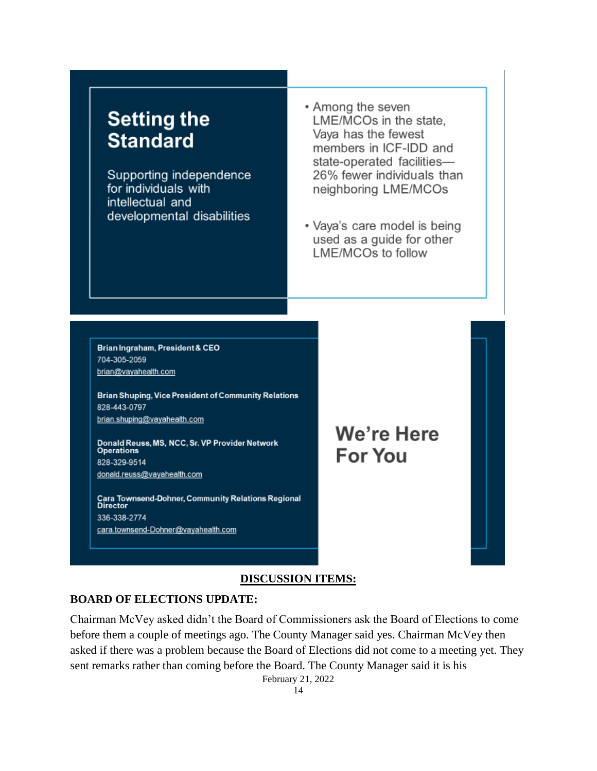# **Setting the Standard**

Supporting independence for individuals with intellectual and developmental disabilities

- Among the seven LME/MCOs in the state. Vaya has the fewest members in ICF-IDD and state-operated facilities-26% fewer individuals than neighboring LME/MCOs
- Vaya's care model is being used as a guide for other LME/MCOs to follow

Brian Ingraham, President & CEO 704-305-2059 brian@vayahealth.com

**Brian Shuping, Vice President of Community Relations** 828-443-0797 brian.shuping@vayahealth.com

Donald Reuss, MS, NCC, Sr. VP Provider Network **Operations** 828-329-9514 donald.reuss@vayahealth.com

Cara Townsend-Dohner, Community Relations Regional<br>Director 336-338-2774 cara.townsend-Dohner@vayahealth.com

We're Here **For You** 

### **DISCUSSION ITEMS:**

### **BOARD OF ELECTIONS UPDATE:**

Chairman McVey asked didn't the Board of Commissioners ask the Board of Elections to come before them a couple of meetings ago. The County Manager said yes. Chairman McVey then asked if there was a problem because the Board of Elections did not come to a meeting yet. They sent remarks rather than coming before the Board. The County Manager said it is his

February 21, 2022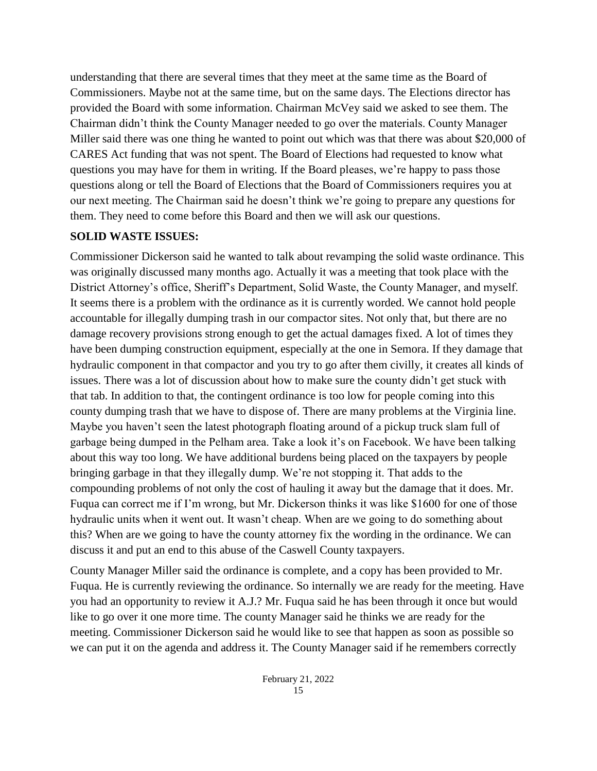understanding that there are several times that they meet at the same time as the Board of Commissioners. Maybe not at the same time, but on the same days. The Elections director has provided the Board with some information. Chairman McVey said we asked to see them. The Chairman didn't think the County Manager needed to go over the materials. County Manager Miller said there was one thing he wanted to point out which was that there was about \$20,000 of CARES Act funding that was not spent. The Board of Elections had requested to know what questions you may have for them in writing. If the Board pleases, we're happy to pass those questions along or tell the Board of Elections that the Board of Commissioners requires you at our next meeting. The Chairman said he doesn't think we're going to prepare any questions for them. They need to come before this Board and then we will ask our questions.

# **SOLID WASTE ISSUES:**

Commissioner Dickerson said he wanted to talk about revamping the solid waste ordinance. This was originally discussed many months ago. Actually it was a meeting that took place with the District Attorney's office, Sheriff's Department, Solid Waste, the County Manager, and myself. It seems there is a problem with the ordinance as it is currently worded. We cannot hold people accountable for illegally dumping trash in our compactor sites. Not only that, but there are no damage recovery provisions strong enough to get the actual damages fixed. A lot of times they have been dumping construction equipment, especially at the one in Semora. If they damage that hydraulic component in that compactor and you try to go after them civilly, it creates all kinds of issues. There was a lot of discussion about how to make sure the county didn't get stuck with that tab. In addition to that, the contingent ordinance is too low for people coming into this county dumping trash that we have to dispose of. There are many problems at the Virginia line. Maybe you haven't seen the latest photograph floating around of a pickup truck slam full of garbage being dumped in the Pelham area. Take a look it's on Facebook. We have been talking about this way too long. We have additional burdens being placed on the taxpayers by people bringing garbage in that they illegally dump. We're not stopping it. That adds to the compounding problems of not only the cost of hauling it away but the damage that it does. Mr. Fuqua can correct me if I'm wrong, but Mr. Dickerson thinks it was like \$1600 for one of those hydraulic units when it went out. It wasn't cheap. When are we going to do something about this? When are we going to have the county attorney fix the wording in the ordinance. We can discuss it and put an end to this abuse of the Caswell County taxpayers.

County Manager Miller said the ordinance is complete, and a copy has been provided to Mr. Fuqua. He is currently reviewing the ordinance. So internally we are ready for the meeting. Have you had an opportunity to review it A.J.? Mr. Fuqua said he has been through it once but would like to go over it one more time. The county Manager said he thinks we are ready for the meeting. Commissioner Dickerson said he would like to see that happen as soon as possible so we can put it on the agenda and address it. The County Manager said if he remembers correctly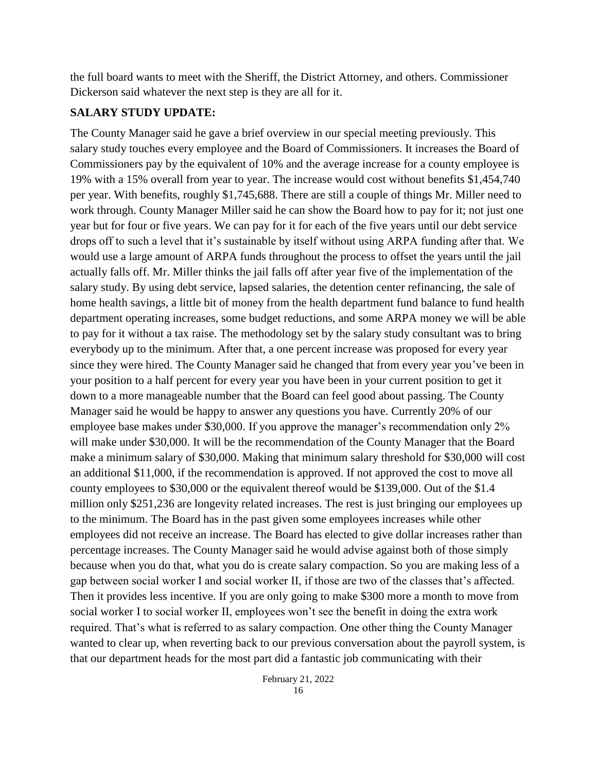the full board wants to meet with the Sheriff, the District Attorney, and others. Commissioner Dickerson said whatever the next step is they are all for it.

### **SALARY STUDY UPDATE:**

The County Manager said he gave a brief overview in our special meeting previously. This salary study touches every employee and the Board of Commissioners. It increases the Board of Commissioners pay by the equivalent of 10% and the average increase for a county employee is 19% with a 15% overall from year to year. The increase would cost without benefits \$1,454,740 per year. With benefits, roughly \$1,745,688. There are still a couple of things Mr. Miller need to work through. County Manager Miller said he can show the Board how to pay for it; not just one year but for four or five years. We can pay for it for each of the five years until our debt service drops off to such a level that it's sustainable by itself without using ARPA funding after that. We would use a large amount of ARPA funds throughout the process to offset the years until the jail actually falls off. Mr. Miller thinks the jail falls off after year five of the implementation of the salary study. By using debt service, lapsed salaries, the detention center refinancing, the sale of home health savings, a little bit of money from the health department fund balance to fund health department operating increases, some budget reductions, and some ARPA money we will be able to pay for it without a tax raise. The methodology set by the salary study consultant was to bring everybody up to the minimum. After that, a one percent increase was proposed for every year since they were hired. The County Manager said he changed that from every year you've been in your position to a half percent for every year you have been in your current position to get it down to a more manageable number that the Board can feel good about passing. The County Manager said he would be happy to answer any questions you have. Currently 20% of our employee base makes under \$30,000. If you approve the manager's recommendation only 2% will make under \$30,000. It will be the recommendation of the County Manager that the Board make a minimum salary of \$30,000. Making that minimum salary threshold for \$30,000 will cost an additional \$11,000, if the recommendation is approved. If not approved the cost to move all county employees to \$30,000 or the equivalent thereof would be \$139,000. Out of the \$1.4 million only \$251,236 are longevity related increases. The rest is just bringing our employees up to the minimum. The Board has in the past given some employees increases while other employees did not receive an increase. The Board has elected to give dollar increases rather than percentage increases. The County Manager said he would advise against both of those simply because when you do that, what you do is create salary compaction. So you are making less of a gap between social worker I and social worker II, if those are two of the classes that's affected. Then it provides less incentive. If you are only going to make \$300 more a month to move from social worker I to social worker II, employees won't see the benefit in doing the extra work required. That's what is referred to as salary compaction. One other thing the County Manager wanted to clear up, when reverting back to our previous conversation about the payroll system, is that our department heads for the most part did a fantastic job communicating with their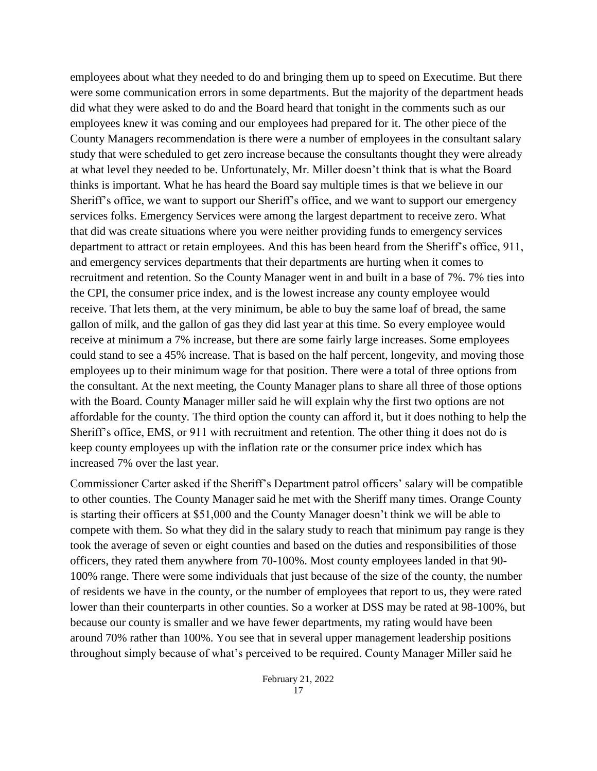employees about what they needed to do and bringing them up to speed on Executime. But there were some communication errors in some departments. But the majority of the department heads did what they were asked to do and the Board heard that tonight in the comments such as our employees knew it was coming and our employees had prepared for it. The other piece of the County Managers recommendation is there were a number of employees in the consultant salary study that were scheduled to get zero increase because the consultants thought they were already at what level they needed to be. Unfortunately, Mr. Miller doesn't think that is what the Board thinks is important. What he has heard the Board say multiple times is that we believe in our Sheriff's office, we want to support our Sheriff's office, and we want to support our emergency services folks. Emergency Services were among the largest department to receive zero. What that did was create situations where you were neither providing funds to emergency services department to attract or retain employees. And this has been heard from the Sheriff's office, 911, and emergency services departments that their departments are hurting when it comes to recruitment and retention. So the County Manager went in and built in a base of 7%. 7% ties into the CPI, the consumer price index, and is the lowest increase any county employee would receive. That lets them, at the very minimum, be able to buy the same loaf of bread, the same gallon of milk, and the gallon of gas they did last year at this time. So every employee would receive at minimum a 7% increase, but there are some fairly large increases. Some employees could stand to see a 45% increase. That is based on the half percent, longevity, and moving those employees up to their minimum wage for that position. There were a total of three options from the consultant. At the next meeting, the County Manager plans to share all three of those options with the Board. County Manager miller said he will explain why the first two options are not affordable for the county. The third option the county can afford it, but it does nothing to help the Sheriff's office, EMS, or 911 with recruitment and retention. The other thing it does not do is keep county employees up with the inflation rate or the consumer price index which has increased 7% over the last year.

Commissioner Carter asked if the Sheriff's Department patrol officers' salary will be compatible to other counties. The County Manager said he met with the Sheriff many times. Orange County is starting their officers at \$51,000 and the County Manager doesn't think we will be able to compete with them. So what they did in the salary study to reach that minimum pay range is they took the average of seven or eight counties and based on the duties and responsibilities of those officers, they rated them anywhere from 70-100%. Most county employees landed in that 90- 100% range. There were some individuals that just because of the size of the county, the number of residents we have in the county, or the number of employees that report to us, they were rated lower than their counterparts in other counties. So a worker at DSS may be rated at 98-100%, but because our county is smaller and we have fewer departments, my rating would have been around 70% rather than 100%. You see that in several upper management leadership positions throughout simply because of what's perceived to be required. County Manager Miller said he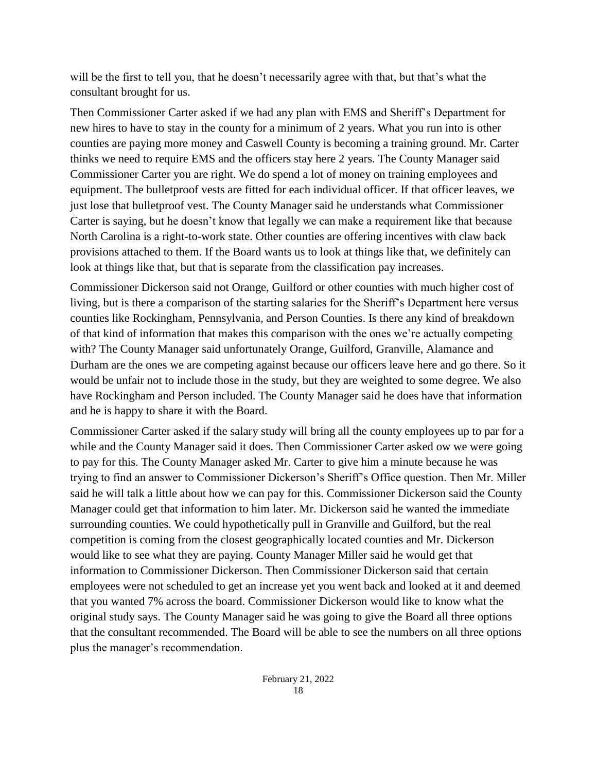will be the first to tell you, that he doesn't necessarily agree with that, but that's what the consultant brought for us.

Then Commissioner Carter asked if we had any plan with EMS and Sheriff's Department for new hires to have to stay in the county for a minimum of 2 years. What you run into is other counties are paying more money and Caswell County is becoming a training ground. Mr. Carter thinks we need to require EMS and the officers stay here 2 years. The County Manager said Commissioner Carter you are right. We do spend a lot of money on training employees and equipment. The bulletproof vests are fitted for each individual officer. If that officer leaves, we just lose that bulletproof vest. The County Manager said he understands what Commissioner Carter is saying, but he doesn't know that legally we can make a requirement like that because North Carolina is a right-to-work state. Other counties are offering incentives with claw back provisions attached to them. If the Board wants us to look at things like that, we definitely can look at things like that, but that is separate from the classification pay increases.

Commissioner Dickerson said not Orange, Guilford or other counties with much higher cost of living, but is there a comparison of the starting salaries for the Sheriff's Department here versus counties like Rockingham, Pennsylvania, and Person Counties. Is there any kind of breakdown of that kind of information that makes this comparison with the ones we're actually competing with? The County Manager said unfortunately Orange, Guilford, Granville, Alamance and Durham are the ones we are competing against because our officers leave here and go there. So it would be unfair not to include those in the study, but they are weighted to some degree. We also have Rockingham and Person included. The County Manager said he does have that information and he is happy to share it with the Board.

Commissioner Carter asked if the salary study will bring all the county employees up to par for a while and the County Manager said it does. Then Commissioner Carter asked ow we were going to pay for this. The County Manager asked Mr. Carter to give him a minute because he was trying to find an answer to Commissioner Dickerson's Sheriff's Office question. Then Mr. Miller said he will talk a little about how we can pay for this. Commissioner Dickerson said the County Manager could get that information to him later. Mr. Dickerson said he wanted the immediate surrounding counties. We could hypothetically pull in Granville and Guilford, but the real competition is coming from the closest geographically located counties and Mr. Dickerson would like to see what they are paying. County Manager Miller said he would get that information to Commissioner Dickerson. Then Commissioner Dickerson said that certain employees were not scheduled to get an increase yet you went back and looked at it and deemed that you wanted 7% across the board. Commissioner Dickerson would like to know what the original study says. The County Manager said he was going to give the Board all three options that the consultant recommended. The Board will be able to see the numbers on all three options plus the manager's recommendation.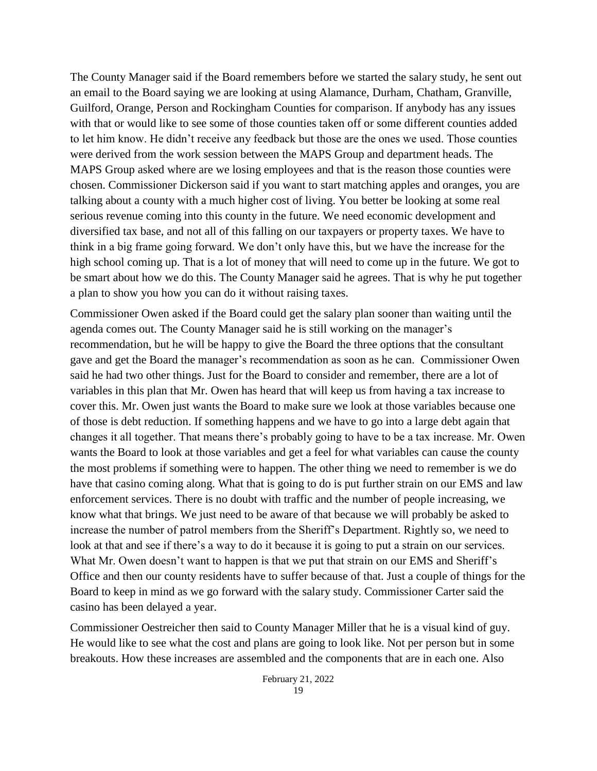The County Manager said if the Board remembers before we started the salary study, he sent out an email to the Board saying we are looking at using Alamance, Durham, Chatham, Granville, Guilford, Orange, Person and Rockingham Counties for comparison. If anybody has any issues with that or would like to see some of those counties taken off or some different counties added to let him know. He didn't receive any feedback but those are the ones we used. Those counties were derived from the work session between the MAPS Group and department heads. The MAPS Group asked where are we losing employees and that is the reason those counties were chosen. Commissioner Dickerson said if you want to start matching apples and oranges, you are talking about a county with a much higher cost of living. You better be looking at some real serious revenue coming into this county in the future. We need economic development and diversified tax base, and not all of this falling on our taxpayers or property taxes. We have to think in a big frame going forward. We don't only have this, but we have the increase for the high school coming up. That is a lot of money that will need to come up in the future. We got to be smart about how we do this. The County Manager said he agrees. That is why he put together a plan to show you how you can do it without raising taxes.

Commissioner Owen asked if the Board could get the salary plan sooner than waiting until the agenda comes out. The County Manager said he is still working on the manager's recommendation, but he will be happy to give the Board the three options that the consultant gave and get the Board the manager's recommendation as soon as he can. Commissioner Owen said he had two other things. Just for the Board to consider and remember, there are a lot of variables in this plan that Mr. Owen has heard that will keep us from having a tax increase to cover this. Mr. Owen just wants the Board to make sure we look at those variables because one of those is debt reduction. If something happens and we have to go into a large debt again that changes it all together. That means there's probably going to have to be a tax increase. Mr. Owen wants the Board to look at those variables and get a feel for what variables can cause the county the most problems if something were to happen. The other thing we need to remember is we do have that casino coming along. What that is going to do is put further strain on our EMS and law enforcement services. There is no doubt with traffic and the number of people increasing, we know what that brings. We just need to be aware of that because we will probably be asked to increase the number of patrol members from the Sheriff's Department. Rightly so, we need to look at that and see if there's a way to do it because it is going to put a strain on our services. What Mr. Owen doesn't want to happen is that we put that strain on our EMS and Sheriff's Office and then our county residents have to suffer because of that. Just a couple of things for the Board to keep in mind as we go forward with the salary study. Commissioner Carter said the casino has been delayed a year.

Commissioner Oestreicher then said to County Manager Miller that he is a visual kind of guy. He would like to see what the cost and plans are going to look like. Not per person but in some breakouts. How these increases are assembled and the components that are in each one. Also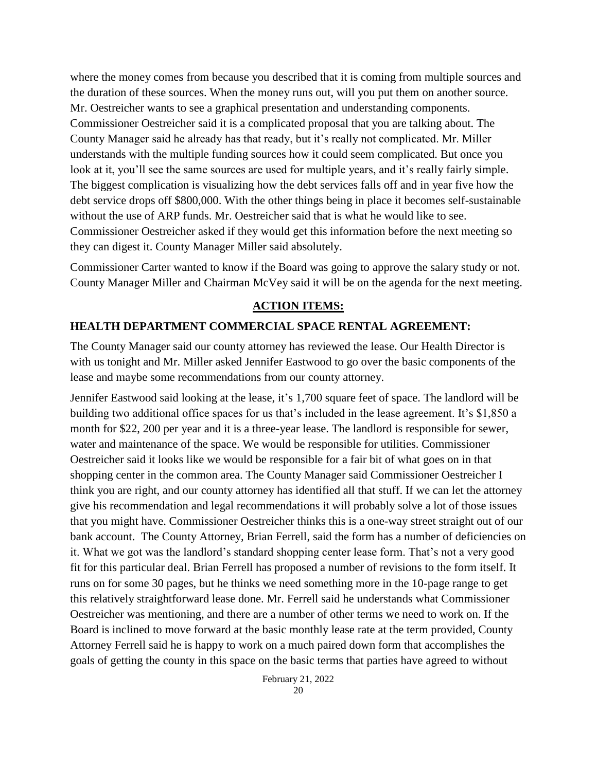where the money comes from because you described that it is coming from multiple sources and the duration of these sources. When the money runs out, will you put them on another source. Mr. Oestreicher wants to see a graphical presentation and understanding components. Commissioner Oestreicher said it is a complicated proposal that you are talking about. The County Manager said he already has that ready, but it's really not complicated. Mr. Miller understands with the multiple funding sources how it could seem complicated. But once you look at it, you'll see the same sources are used for multiple years, and it's really fairly simple. The biggest complication is visualizing how the debt services falls off and in year five how the debt service drops off \$800,000. With the other things being in place it becomes self-sustainable without the use of ARP funds. Mr. Oestreicher said that is what he would like to see. Commissioner Oestreicher asked if they would get this information before the next meeting so they can digest it. County Manager Miller said absolutely.

Commissioner Carter wanted to know if the Board was going to approve the salary study or not. County Manager Miller and Chairman McVey said it will be on the agenda for the next meeting.

### **ACTION ITEMS:**

### **HEALTH DEPARTMENT COMMERCIAL SPACE RENTAL AGREEMENT:**

The County Manager said our county attorney has reviewed the lease. Our Health Director is with us tonight and Mr. Miller asked Jennifer Eastwood to go over the basic components of the lease and maybe some recommendations from our county attorney.

Jennifer Eastwood said looking at the lease, it's 1,700 square feet of space. The landlord will be building two additional office spaces for us that's included in the lease agreement. It's \$1,850 a month for \$22, 200 per year and it is a three-year lease. The landlord is responsible for sewer, water and maintenance of the space. We would be responsible for utilities. Commissioner Oestreicher said it looks like we would be responsible for a fair bit of what goes on in that shopping center in the common area. The County Manager said Commissioner Oestreicher I think you are right, and our county attorney has identified all that stuff. If we can let the attorney give his recommendation and legal recommendations it will probably solve a lot of those issues that you might have. Commissioner Oestreicher thinks this is a one-way street straight out of our bank account. The County Attorney, Brian Ferrell, said the form has a number of deficiencies on it. What we got was the landlord's standard shopping center lease form. That's not a very good fit for this particular deal. Brian Ferrell has proposed a number of revisions to the form itself. It runs on for some 30 pages, but he thinks we need something more in the 10-page range to get this relatively straightforward lease done. Mr. Ferrell said he understands what Commissioner Oestreicher was mentioning, and there are a number of other terms we need to work on. If the Board is inclined to move forward at the basic monthly lease rate at the term provided, County Attorney Ferrell said he is happy to work on a much paired down form that accomplishes the goals of getting the county in this space on the basic terms that parties have agreed to without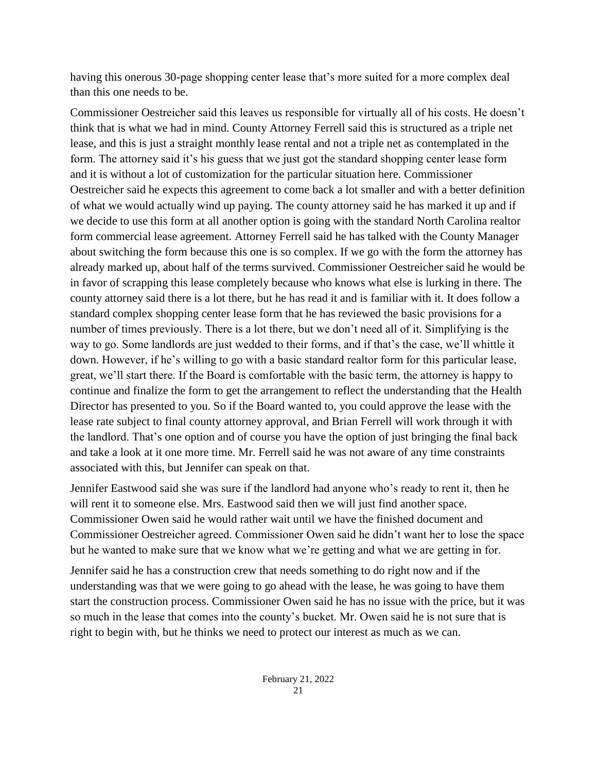having this onerous 30-page shopping center lease that's more suited for a more complex deal than this one needs to be.

Commissioner Oestreicher said this leaves us responsible for virtually all of his costs. He doesn't think that is what we had in mind. County Attorney Ferrell said this is structured as a triple net lease, and this is just a straight monthly lease rental and not a triple net as contemplated in the form. The attorney said it's his guess that we just got the standard shopping center lease form and it is without a lot of customization for the particular situation here. Commissioner Oestreicher said he expects this agreement to come back a lot smaller and with a better definition of what we would actually wind up paying. The county attorney said he has marked it up and if we decide to use this form at all another option is going with the standard North Carolina realtor form commercial lease agreement. Attorney Ferrell said he has talked with the County Manager about switching the form because this one is so complex. If we go with the form the attorney has already marked up, about half of the terms survived. Commissioner Oestreicher said he would be in favor of scrapping this lease completely because who knows what else is lurking in there. The county attorney said there is a lot there, but he has read it and is familiar with it. It does follow a standard complex shopping center lease form that he has reviewed the basic provisions for a number of times previously. There is a lot there, but we don't need all of it. Simplifying is the way to go. Some landlords are just wedded to their forms, and if that's the case, we'll whittle it down. However, if he's willing to go with a basic standard realtor form for this particular lease, great, we'll start there. If the Board is comfortable with the basic term, the attorney is happy to continue and finalize the form to get the arrangement to reflect the understanding that the Health Director has presented to you. So if the Board wanted to, you could approve the lease with the lease rate subject to final county attorney approval, and Brian Ferrell will work through it with the landlord. That's one option and of course you have the option of just bringing the final back and take a look at it one more time. Mr. Ferrell said he was not aware of any time constraints associated with this, but Jennifer can speak on that.

Jennifer Eastwood said she was sure if the landlord had anyone who's ready to rent it, then he will rent it to someone else. Mrs. Eastwood said then we will just find another space. Commissioner Owen said he would rather wait until we have the finished document and Commissioner Oestreicher agreed. Commissioner Owen said he didn't want her to lose the space but he wanted to make sure that we know what we're getting and what we are getting in for.

Jennifer said he has a construction crew that needs something to do right now and if the understanding was that we were going to go ahead with the lease, he was going to have them start the construction process. Commissioner Owen said he has no issue with the price, but it was so much in the lease that comes into the county's bucket. Mr. Owen said he is not sure that is right to begin with, but he thinks we need to protect our interest as much as we can.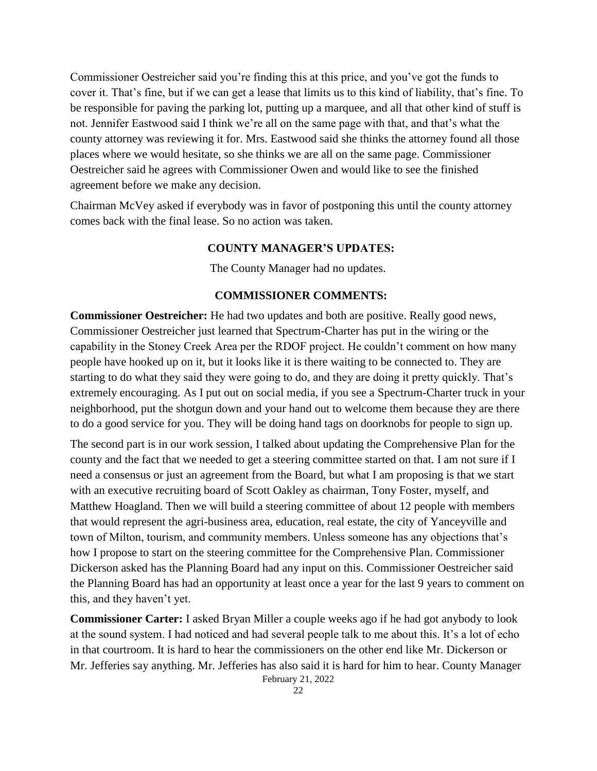Commissioner Oestreicher said you're finding this at this price, and you've got the funds to cover it. That's fine, but if we can get a lease that limits us to this kind of liability, that's fine. To be responsible for paving the parking lot, putting up a marquee, and all that other kind of stuff is not. Jennifer Eastwood said I think we're all on the same page with that, and that's what the county attorney was reviewing it for. Mrs. Eastwood said she thinks the attorney found all those places where we would hesitate, so she thinks we are all on the same page. Commissioner Oestreicher said he agrees with Commissioner Owen and would like to see the finished agreement before we make any decision.

Chairman McVey asked if everybody was in favor of postponing this until the county attorney comes back with the final lease. So no action was taken.

### **COUNTY MANAGER'S UPDATES:**

The County Manager had no updates.

### **COMMISSIONER COMMENTS:**

**Commissioner Oestreicher:** He had two updates and both are positive. Really good news, Commissioner Oestreicher just learned that Spectrum-Charter has put in the wiring or the capability in the Stoney Creek Area per the RDOF project. He couldn't comment on how many people have hooked up on it, but it looks like it is there waiting to be connected to. They are starting to do what they said they were going to do, and they are doing it pretty quickly. That's extremely encouraging. As I put out on social media, if you see a Spectrum-Charter truck in your neighborhood, put the shotgun down and your hand out to welcome them because they are there to do a good service for you. They will be doing hand tags on doorknobs for people to sign up.

The second part is in our work session, I talked about updating the Comprehensive Plan for the county and the fact that we needed to get a steering committee started on that. I am not sure if I need a consensus or just an agreement from the Board, but what I am proposing is that we start with an executive recruiting board of Scott Oakley as chairman, Tony Foster, myself, and Matthew Hoagland. Then we will build a steering committee of about 12 people with members that would represent the agri-business area, education, real estate, the city of Yanceyville and town of Milton, tourism, and community members. Unless someone has any objections that's how I propose to start on the steering committee for the Comprehensive Plan. Commissioner Dickerson asked has the Planning Board had any input on this. Commissioner Oestreicher said the Planning Board has had an opportunity at least once a year for the last 9 years to comment on this, and they haven't yet.

February 21, 2022 **Commissioner Carter:** I asked Bryan Miller a couple weeks ago if he had got anybody to look at the sound system. I had noticed and had several people talk to me about this. It's a lot of echo in that courtroom. It is hard to hear the commissioners on the other end like Mr. Dickerson or Mr. Jefferies say anything. Mr. Jefferies has also said it is hard for him to hear. County Manager